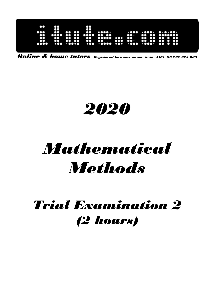| оо<br>ះ<br>$\bullet\bullet$<br><br>$\cdots$<br>$\bullet\bullet$<br>$\cdots$<br><br>$\cdots$<br>$\bullet\bullet$<br>$\bullet$<br>$\bullet\bullet\bullet\bullet$<br>$\bullet\bullet$<br><br>ω<br>œ<br>$\bullet \bullet \bullet \bullet \bullet$<br>$\mathbf{C}$<br>$\bullet\bullet\bullet$<br>$\bullet\bullet$<br>$\bullet\bullet$<br><br>$\bullet$<br>$\bullet$<br>$\bullet$<br>m<br>$\bullet$<br>$\bullet\bullet\cdot$<br>$\bullet\bullet\bullet$<br>$\bullet\bullet$<br>$\bullet\bullet$<br>$\mathbf{C}$<br>$\bullet\bullet\bullet$<br>$\bullet\bullet$<br>$\mathbf{O}$<br>80<br>$\mathbf{C}$<br>90<br>990<br>500<br>. 0000 |
|------------------------------------------------------------------------------------------------------------------------------------------------------------------------------------------------------------------------------------------------------------------------------------------------------------------------------------------------------------------------------------------------------------------------------------------------------------------------------------------------------------------------------------------------------------------------------------------------------------------------------|
|------------------------------------------------------------------------------------------------------------------------------------------------------------------------------------------------------------------------------------------------------------------------------------------------------------------------------------------------------------------------------------------------------------------------------------------------------------------------------------------------------------------------------------------------------------------------------------------------------------------------------|

Online & home tutors Registered business name: itute ABN: 96 297 924 083

# 2020

# Mathematical **Methods**

## Trial Examination 2 (2 hours)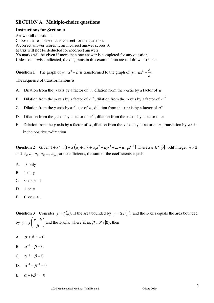### **SECTION A Multiple-choice questions**

#### **Instructions for Section A**

Answer **all** questions. Choose the response that is **correct** for the question. A correct answer scores 1, an incorrect answer scores 0. Marks will **not** be deducted for incorrect answers. **No** marks will be given if more than one answer is completed for any question. Unless otherwise indicated, the diagrams in this examination are **not** drawn to scale.

**Question 1** The graph of  $y = x^2 + b$  is transformed to the graph of *a*  $y = ax^2 + \frac{b}{x}$ .

The sequence of transformations is

- A. Dilation from the *y*-axis by a factor of *a* , dilation from the *x*-axis by a factor of *a*
- B. Dilation from the *y*-axis by a factor of  $a^{-1}$ , dilation from the *x*-axis by a factor of  $a^{-1}$
- C. Dilation from the *y*-axis by a factor of *a*, dilation from the *x*-axis by a factor of  $a^{-1}$
- D. Dilation from the *y*-axis by a factor of  $a^{-1}$ , dilation from the *x*-axis by a factor of a
- E. Dilation from the *y*-axis by a factor of *a* , dilation from the *x*-axis by a factor of *a* , translation by *ab* in in the positive *x*-direction

**Question 2** Given  $1 + x^n = (1 + x)(a_0 + a_1x + a_2x^2 + a_3x^3 + ... + a_{n-1}x^{n-1})$ 1 3 3 2  $1 + x^n = (1 + x)(a_0 + a_1x + a_2x^2 + a_3x^3 + ... + a_{n-1}x^n)$ *n*  $x^n = (1+x)(a_0 + a_1x + a_2x^2 + a_3x^3 + ... + a_{n-1}x^{n-1})$  where  $x \in R \setminus \{0\}$ , odd integer  $n > 2$ and  $a_0$ ,  $a_1$ ,  $a_2$ ,  $a_3$ , ...,  $a_{n-1}$  are coefficients, the sum of the coefficients equals

- A. 0 only
- B. 1 only
- C. 0 or  $n-1$
- D. 1 or *n*
- E. 0 or  $n+1$

**Question 3** Consider  $y = f(x)$ . If the area bounded by  $y = \alpha f(x)$  and the *x*-axis equals the area bounded by  $y = f \left| \frac{x - b}{\beta} \right|$ J  $\backslash$  $\overline{\phantom{a}}$ l  $=f\left(\frac{x-1}{2}\right)$ β  $y = f\left(\frac{x-b}{a}\right)$  and the *x*-axis, where *b*,  $\alpha, \beta \in R \setminus \{0\}$ , then

- A.  $\alpha + \beta^{-1} = 0$
- B.  $\alpha^{-1} \beta = 0$
- C.  $\alpha^{-1} + \beta = 0$
- D.  $\alpha^{-1} \beta^{-1} = 0$
- E.  $\alpha + b\beta^{-1} = 0$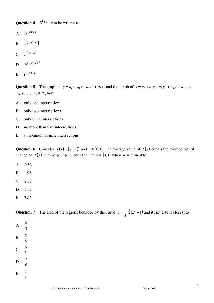**Question 4**  $5^{\log_a b}$  can be written as

- A.  $b^{-\log_5 a}$ **B**.  $(b^{-\log_5 a})^{-1}$
- **C**.  $b^{(\log_5 a)^{-1}}$
- D.  $b^{(-\log_5 a)^{-1}}$
- E.  $b^{-\log_a 5}$

**Question 5** The graph of  $y = a_0 + a_1x + a_2x^2 + a_3x^3$ 2  $y = a_0 + a_1 x + a_2 x^2 + a_3 x^3$  and the graph of  $x = a_0 + a_1 y + a_2 y^2 + a_3 y^3$ 2  $x = a_0 + a_1 y + a_2 y^2 + a_3 y^3$ , where  $a_0, a_1, a_2, a_3 \in R$ , have

- A. only one intersection
- B. only two intersections
- C. only three intersections
- D. no more than five intersections
- E. a maximum of nine intersections

Question 6 Consider  $f(x) = (x+1)^n$  and  $x \in [0,1]$ . The average value of  $f(x)$  equals the average rate of change of  $f(x)$  with respect to *x* over the interval [0, 1] when *n* is closest to

- A. 0.53
- B. 1.53
- $C. 2.53$
- D. 3.81
- E. 3.82

|                  |  | <b>Question 7</b> The area of the regions bounded by the curve $y = \frac{1}{3}x(4x^2 - 1)$ and its inverse is closest to |  |  |  |  |  |
|------------------|--|---------------------------------------------------------------------------------------------------------------------------|--|--|--|--|--|
| A. $\frac{4}{3}$ |  |                                                                                                                           |  |  |  |  |  |
| B. $\frac{5}{4}$ |  |                                                                                                                           |  |  |  |  |  |
| C. $\frac{6}{5}$ |  |                                                                                                                           |  |  |  |  |  |
| D. $\frac{7}{6}$ |  |                                                                                                                           |  |  |  |  |  |
| E. $\frac{8}{7}$ |  |                                                                                                                           |  |  |  |  |  |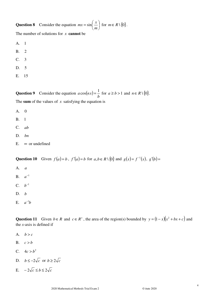**Question 8** Consider the equation  $mx = \sin \left| \frac{x}{x} \right|$ J  $\left(\frac{x}{x}\right)$ l ſ = *m*  $mx = \sin\left(\frac{x}{m}\right)$  for  $m \in R \setminus \{0\}$ . The number of solutions for *x* **cannot** be A. 1 B. 2 C. 3

- D. 5
- E. 15

**Question 9** Consider the equation  $a \cos(nx)$ *b*  $a\cos(nx) = \frac{1}{x}$  for  $a \ge b > 1$  and  $n \in R \setminus \{0\}.$ The sum of the values of  $x$  satisfying the equation is

- A. 0
- B. 1
- C. *ab*
- D. *bn*
- E.  $\infty$  or undefined

Question 10 Given  $f(a)=b$ ,  $f'(a)=b$  for  $a,b \in R \setminus \{0\}$  and  $g(x)=f^{-1}(x)$ ,  $g'(b)=f^{-1}(x)$ 

- A. *a* **B.**  $a^{-1}$ **C**.  $b^{-1}$ D. *b*
- E.  $a^{-1}b$

Question 11 Given  $b \in R$  and  $c \in R^+$ , the area of the region(s) bounded by  $y = (1-x)(x^2 + bx + c)$  and the *x*-axis is defined if

- A.  $b > c$
- B.  $c > b$
- C.  $4c > b^2$
- D. *b* ≤ −2 $\sqrt{c}$  or *b* ≥ 2 $\sqrt{c}$
- E.  $-2\sqrt{c} < b \le 2\sqrt{c}$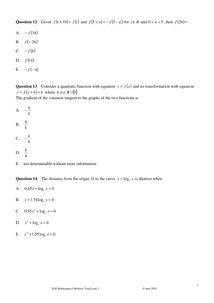Question 12 Given  $f(t+10) = f(t)$  and  $f(5 + a) = -f(5 - a)$  for  $t \in R$  and  $0 < a < 5$ , then  $f(26) =$ 

- A.  $-f(34)$
- B.  $f(-26)$
- C.  $-f(6)$
- D.  $f(14)$
- E.  $-f(-4)$

**Question 13** Consider a quadratic function with equation  $y = f(x)$  and its transformation with equation  $y = f(x+h) + k$  where  $h, k \in R \setminus \{0\}.$ 

The gradient of the common tangent to the graphs of the two functions is

- A. *k h* −
- B. *k h*
- C. *h*  $-\frac{k}{l}$
- D. *h k*
- E. not determinable without more information

**Question 14** The distance from the origin *O* to the curve  $y = \log_e x$  is shortest when

- A.  $0.65x + \log_e x = 0$
- B.  $x + 1.54 \log_e x = 0$
- C.  $0.95x^2 + \log_e x = 0$
- D.  $x^2 + \log_e x = 0$
- E.  $x^2 + 1.05 \log_e x = 0$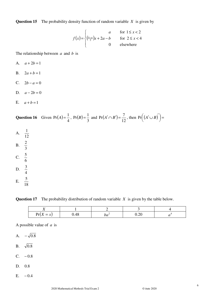**Question 15** The probability density function of random variable *X* is given by

$$
f(x) = \begin{cases} a & \text{for } 1 \le x < 2\\ \left(\frac{b-a}{2}\right)x + 2a - b & \text{for } 2 \le x < 4\\ 0 & \text{elsewhere} \end{cases}
$$

The relationship between *a* and *b* is

- A.  $a + 2b = 1$
- B.  $2a + b = 1$
- C.  $2b a = 0$
- D.  $a 2b = 0$
- E.  $a + b = 1$

**Question 16** Given 
$$
Pr(A) = \frac{1}{4}
$$
,  $Pr(B) = \frac{1}{3}$  and  $Pr(A' \cap B') = \frac{7}{12}$ , then  $Pr((A' \cup B)') =$ 

**Question 17** The probability distribution of random variable *X* is given by the table below.

| $Pr(X = x)$ | J.48 | vu | 0.20 |  |
|-------------|------|----|------|--|

A possible value of *a* is

A.  $-\sqrt{0.8}$ 

B.  $\sqrt{0.8}$ 

- C.  $-0.8$
- $D. 0.8$
- E.  $-0.4$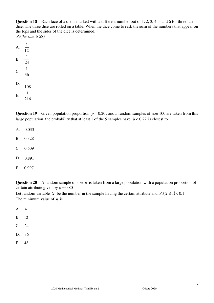**Question 18** Each face of a die is marked with a different number out of 1, 2, 3, 4, 5 and 6 for three fair dice. The three dice are rolled on a table. When the dice come to rest, the **sum** of the numbers that appear on the tops and the sides of the dice is determined.  $Pr(the sum is 58) =$ 

E. 216

**Question 19** Given population proportion  $p = 0.20$ , and 5 random samples of size 100 are taken from this large population, the probability that at least 1 of the 5 samples have  $\hat{p}$  < 0.22 is closest to

- A. 0.033
- B. 0.328
- $C. 0.609$
- D. 0.891
- E. 0.997

**Question 20** A random sample of size *n* is taken from a large population with a population proportion of certain attribute given by  $p = 0.80$ .

Let random variable *X* be the number in the sample having the certain attribute and  $Pr(X \le 1) < 0.1$ . The minimum value of *n* is

- A. 4
- B. 12
- C. 24
- D. 36
- E. 48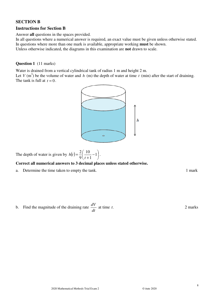#### **SECTION B**

#### **Instructions for Section B**

Answer **all** questions in the spaces provided.

In all questions where a numerical answer is required, an exact value must be given unless otherwise stated. In questions where more than one mark is available, appropriate working **must** be shown. Unless otherwise indicated, the diagrams in this examination are **not** drawn to scale.

#### **Question 1** (11 marks)

Water is drained from a vertical cylindrical tank of radius 1 m and height 2 m.

Let  $V$  (m<sup>3</sup>) be the volume of water and  $h$  (m) the depth of water at time  $t$  (min) after the start of draining. The tank is full at  $t = 0$ .



The depth of water is given by  $h(t) = \frac{2}{9} \left( \frac{10}{t+1} - 1 \right)$  $\left(\frac{10}{2}-1\right)$ l ſ − +  $=\frac{2}{3}$   $\frac{10}{1}$  - 1 1 10 9 2 *t*  $h(t) = \frac{2}{0} \left| \frac{10}{10} - 1 \right|$ .

#### **Correct all numerical answers to 3 decimal places unless stated otherwise.**

a. Determine the time taken to empty the tank. 1 mark

b. Find the magnitude of the draining rate *dt*  $\frac{dV}{dt}$  at time *t*. 2 marks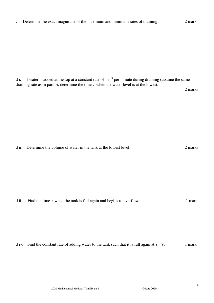c. Determine the exact magnitude of the maximum and minimum rates of draining. 2 marks

d i. If water is added at the top at a constant rate of 1  $m<sup>3</sup>$  per minute during draining (assume the same draining rate as in part b), determine the time *t* when the water level is at the lowest.

d ii. Determine the volume of water in the tank at the lowest level. 2 marks

d iii. Find the time *t* when the tank is full again and begins to overflow. 1 mark

d iv. Find the constant rate of adding water to the tank such that it is full again at  $t = 9$ . 1 mark

9

2 marks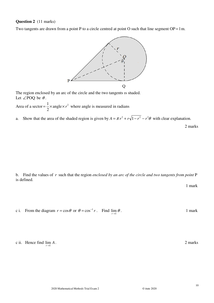#### **Question 2** (11 marks)

Two tangents are drawn from a point P to a circle centred at point O such that line segment  $OP = 1m$ .



The region enclosed by an arc of the circle and the two tangents is shaded. Let  $\angle$ POQ be  $\theta$ .

Area of a sector =  $\frac{1}{2} \times \text{angle} \times r^2$ 2  $=\frac{1}{2} \times \text{angle} \times r^2$  where angle is measured in radians

a. Show that the area of the shaded region is given by  $A = \pi r^2 + r\sqrt{1 - r^2 - r^2\theta}$  with clear explanation.

2 marks

b. Find the values of *r* such that the region *enclosed by an arc of the circle and two tangents from point* P is defined.

1 mark

. 1 mark

c i. From the diagram  $r = \cos \theta$  or  $\theta = \cos^{-1} r$ . Find  $\lim_{r \to 1} \theta$ 

c ii. Hence find  $\lim_{r \to 1} A$ 

. 2 marks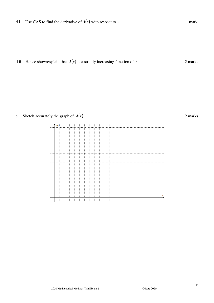d ii. Hence show/explain that  $A(r)$  is a strictly increasing function of *r*. 2 marks

e. Sketch accurately the graph of  $A(r)$ . 2 marks

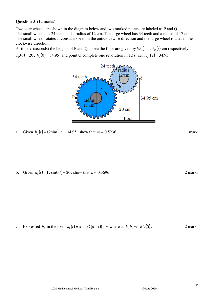**Question 3** (12 marks)

Two gear wheels are shown in the diagram below and two marked points are labeled as P and Q. The small wheel has 24 teeth and a radius of 12 cm. The large wheel has 34 teeth and a radius of 17 cm. The small wheel rotates at constant speed in the anticlockwise direction and the large wheel rotates in the clockwise direction.

At time *t* (seconds) the heights of P and Q above the floor are given by  $h_{\rm p}(t)$  and  $h_{\rm Q}(t)$  cm respectively.  $h_P(0) = 20$ ,  $h_Q(0) = 34.95$ , and point Q complete one revolution in 12 s, i.e.  $h_Q(12) = 34.95$ .



a. Given  $h_0(t) = 12\sin(mt) + 34.95$ , show that  $m \approx 0.5236$ . 1 mark

b. Given  $h_p(t) = 17\sin(nt) + 20$ , show that  $n \approx 0.3696$  2 marks

c. Expressed  $h_p$  in the form  $h_p(t) = a\cos(k(b-t)) + c$  where  $a, k, b, c \in R \setminus \{0\}$ . 2 marks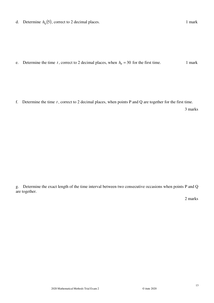d. Determine  $h_0(5)$ , correct to 2 decimal places. 1 mark

e. Determine the time *t*, correct to 2 decimal places, when  $h<sub>P</sub> = 30$  for the first time. 1 mark

f. Determine the time *t* , correct to 2 decimal places, when points P and Q are together for the first time.

3 marks

g. Determine the exact length of the time interval between two consecutive occasions when points P and Q are together.

2 marks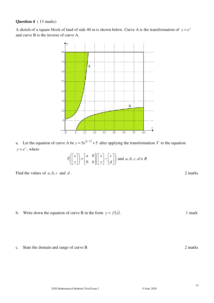#### **Question 4** ( 13 marks)

A sketch of a square block of land of side 40 m is shown below. Curve A is the transformation of  $y = e^x$ and curve B is the inverse of curve A.



a. Let the equation of curve A be  $y = 5e^{(\frac{x}{3}-2)} + 5$  after applying the transformation *T* to the equation  $y = e^x$ , where

$$
T\left(\begin{bmatrix} x \\ y \end{bmatrix}\right) = \begin{bmatrix} a & 0 \\ 0 & b \end{bmatrix} \begin{bmatrix} x \\ y \end{bmatrix} - \begin{bmatrix} c \\ d \end{bmatrix} \text{ and } a, b, c, d \in R
$$

Find the values of *a*, *b*, *c* and *d*. 2 marks

b. Write down the equation of curve B in the form  $y = f(x)$ . 1 mark

c. State the domain and range of curve B. 2 marks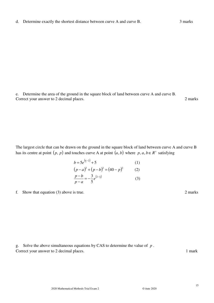e. Determine the area of the ground in the square block of land between curve A and curve B. Correct your answer to 2 decimal places. 2 marks

The largest circle that can be drawn on the ground in the square block of land between curve A and curve B has its centre at point  $(p, p)$  and touches curve A at point  $(a, b)$  where  $p, a, b \in R^+$  satisfying

$$
b = 5e^{\left(\frac{a}{3}-2\right)} + 5
$$
\n
$$
(p-a)^2 + (p-b)^2 = (40-p)^2
$$
\n
$$
\frac{p-b}{p-a} = -\frac{3}{5}e^{\left(2-\frac{a}{3}\right)}
$$
\n(3)

f. Show that equation (3) above is true. 2 marks

g. Solve the above simultaneous equations by CAS to determine the value of *p* . Correct your answer to 2 decimal places. 1 mark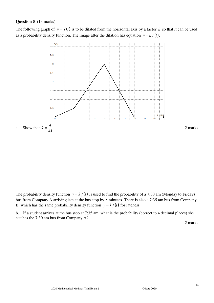#### **Question 5** (13 marks)

The following graph of  $y = f(t)$  is to be dilated from the horizontal axis by a factor k so that it can be used as a probability density function. The image after the dilation has equation  $y = k f(t)$ .



The probability density function  $y = kf(t)$  is used to find the probability of a 7:30 am (Monday to Friday) bus from Company A arriving late at the bus stop by *t* minutes. There is also a 7:35 am bus from Company B, which has the same probability density function  $y = k f(t)$  for lateness.

b. If a student arrives at the bus stop at 7:35 am, what is the probability (correct to 4 decimal places) she catches the 7:30 am bus from Company A?

2 marks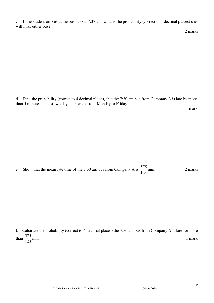c. If the student arrives at the bus stop at 7:37 am, what is the probability (correct to 4 decimal places) she will miss either bus?

d. Find the probability (correct to 4 decimal places) that the 7:30 am bus from Company A is late by more than 5 minutes at least two days in a week from Monday to Friday.

1 mark

e. Show that the mean late time of the 7:30 am bus from Company A is 123  $\frac{575}{122}$  min. 2 marks

f. Calculate the probability (correct to 4 decimal places) the 7:30 am bus from Company A is late for more than 123  $\frac{575}{122}$  min. 1 mark